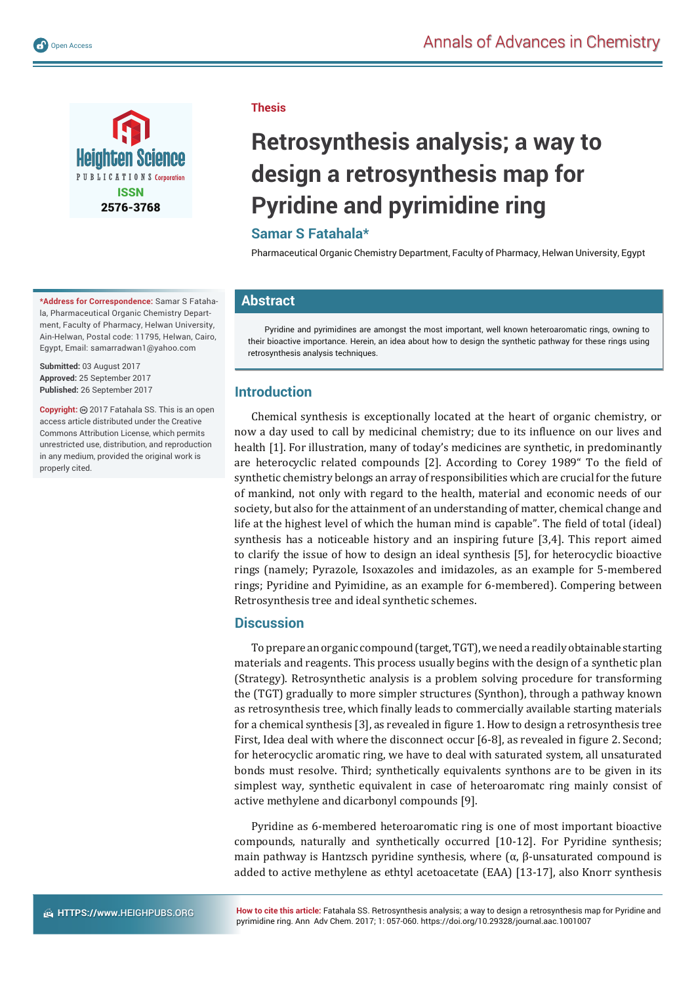

**\*Address for Correspondence:** Samar S Fatahala, Pharmaceutical Organic Chemistry Department, Faculty of Pharmacy, Helwan University, Ain-Helwan, Postal code: 11795, Helwan, Cairo, Egypt, Email: samarradwan1@yahoo.com

**Submitted:** 03 August 2017 **Approved:** 25 September 2017 **Published:** 26 September 2017

**Copyright:** 2017 Fatahala SS. This is an open access article distributed under the Creative Commons Attribution License, which permits unrestricted use, distribution, and reproduction in any medium, provided the original work is properly cited.

#### **Thesis**

# **Retrosynthesis analysis; a way to design a retrosynthesis map for Pyridine and pyrimidine ring**

# **Samar S Fatahala\***

Pharmaceutical Organic Chemistry Department, Faculty of Pharmacy, Helwan University, Egypt

## **Abstract**

Pyridine and pyrimidines are amongst the most important, well known heteroaromatic rings, owning to their bioactive importance. Herein, an idea about how to design the synthetic pathway for these rings using retrosynthesis analysis techniques.

## **Introduction**

Chemical synthesis is exceptionally located at the heart of organic chemistry, or now a day used to call by medicinal chemistry; due to its influence on our lives and health [1]. For illustration, many of today's medicines are synthetic, in predominantly are heterocyclic related compounds [2]. According to Corey 1989" To the field of synthetic chemistry belongs an array of responsibilities which are crucial for the future of mankind, not only with regard to the health, material and economic needs of our society, but also for the attainment of an understanding of matter, chemical change and life at the highest level of which the human mind is capable". The field of total (ideal) synthesis has a noticeable history and an inspiring future [3,4]. This report aimed to clarify the issue of how to design an ideal synthesis [5], for heterocyclic bioactive rings (namely; Pyrazole, Isoxazoles and imidazoles, as an example for 5-membered rings; Pyridine and Pyimidine, as an example for 6-membered). Compering between Retrosynthesis tree and ideal synthetic schemes.

#### **Discussion**

To prepare an organic compound (target, TGT), we need a readily obtainable starting materials and reagents. This process usually begins with the design of a synthetic plan (Strategy). Retrosynthetic analysis is a problem solving procedure for transforming the (TGT) gradually to more simpler structures (Synthon), through a pathway known as retrosynthesis tree, which finally leads to commercially available starting materials for a chemical synthesis [3], as revealed in figure 1. How to design a retrosynthesis tree First, Idea deal with where the disconnect occur [6-8], as revealed in figure 2. Second; for heterocyclic aromatic ring, we have to deal with saturated system, all unsaturated bonds must resolve. Third; synthetically equivalents synthons are to be given in its simplest way, synthetic equivalent in case of heteroaromatc ring mainly consist of active methylene and dicarbonyl compounds [9].

Pyridine as 6-membered heteroaromatic ring is one of most important bioactive compounds, naturally and synthetically occurred [10-12]. For Pyridine synthesis; main pathway is Hantzsch pyridine synthesis, where  $(α, β$ -unsaturated compound is added to active methylene as ethtyl acetoacetate (EAA) [13-17], also Knorr synthesis

**How to cite this article:** Fatahala SS. Retrosynthesis analysis; a way to design a retrosynthesis map for Pyridine and pyrimidine ring. Ann Adv Chem. 2017; 1: 057-060. https://doi.org/10.29328/journal.aac.1001007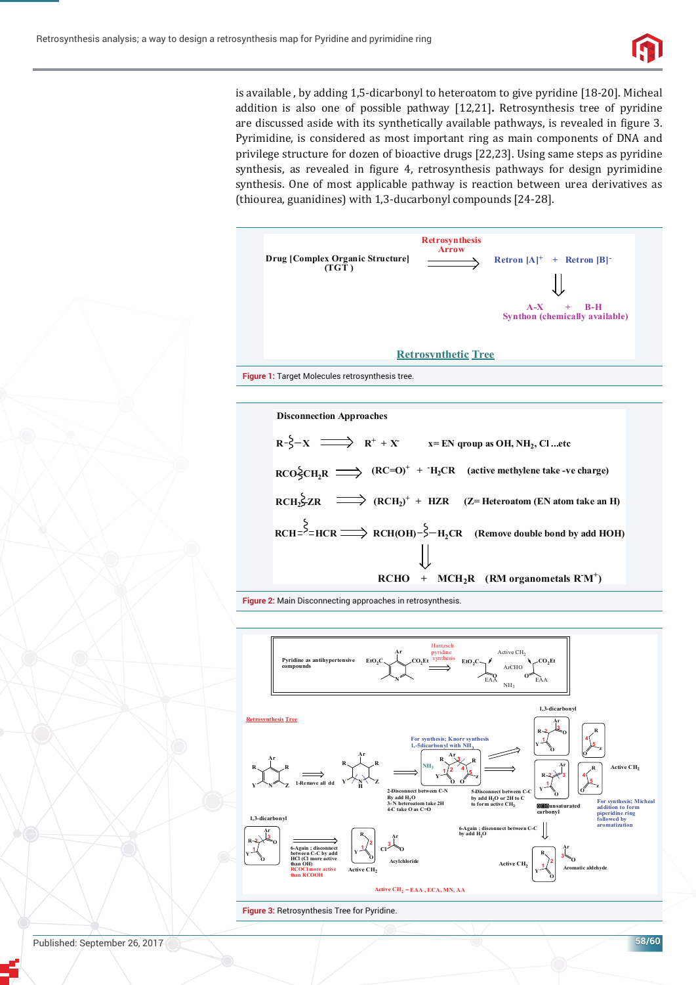

is available , by adding 1,5-dicarbonyl to heteroatom to give pyridine [18-20]. Micheal addition is also one of possible pathway [12,21]**.** Retrosynthesis tree of pyridine are discussed aside with its synthetically available pathways, is revealed in figure 3. Pyrimidine, is considered as most important ring as main components of DNA and privilege structure for dozen of bioactive drugs [22,23]. Using same steps as pyridine synthesis, as revealed in figure 4, retrosynthesis pathways for design pyrimidine synthesis. One of most applicable pathway is reaction between urea derivatives as (thiourea, guanidines) with 1,3-ducarbonyl compounds [24-28].





**Figure 2:** Main Disconnecting approaches in retrosynthesis.



**Figure 3:** Retrosynthesis Tree for Pyridine.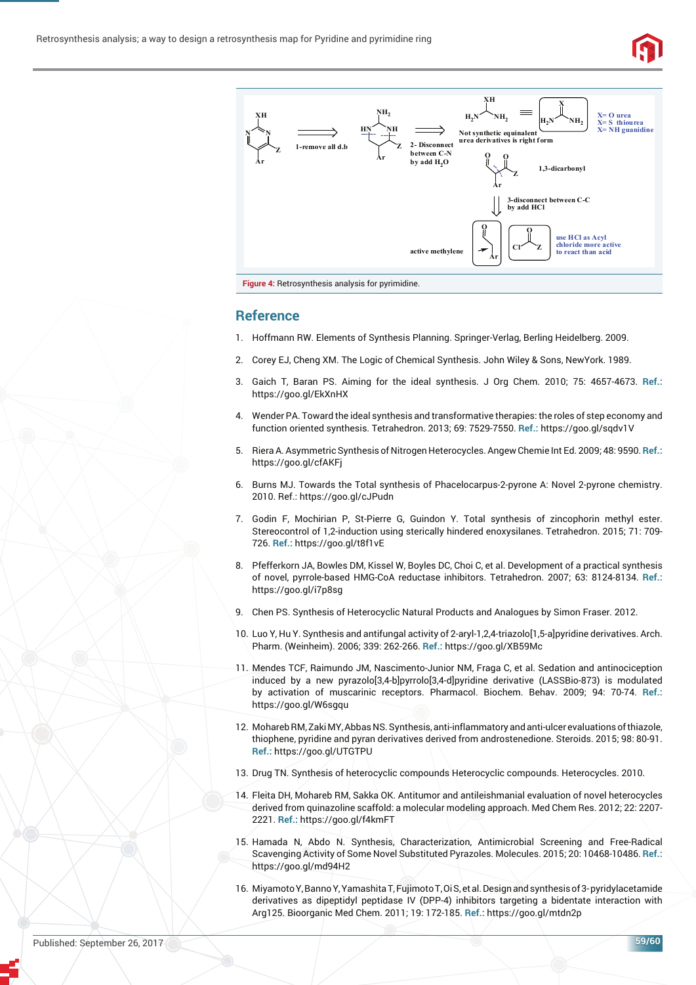



#### **Reference**

- 1. Hoffmann RW. Elements of Synthesis Planning. Springer-Verlag, Berling Heidelberg. 2009.
- 2. Corey EJ, Cheng XM. The Logic of Chemical Synthesis. John Wiley & Sons, NewYork. 1989.
- 3. Gaich T, Baran PS. Aiming for the ideal synthesis. J Org Chem. 2010; 75: 4657-4673. **Ref.:** https://goo.gl/EkXnHX
- 4. Wender PA. Toward the ideal synthesis and transformative therapies: the roles of step economy and function oriented synthesis. Tetrahedron. 2013; 69: 7529-7550. **Ref.:** https://goo.gl/sqdv1V
- 5. Riera A. Asymmetric Synthesis of Nitrogen Heterocycles. Angew Chemie Int Ed. 2009; 48: 9590. **Ref.:** https://goo.gl/cfAKFj
- 6. Burns MJ. Towards the Total synthesis of Phacelocarpus-2-pyrone A: Novel 2-pyrone chemistry. 2010. Ref.: https://goo.gl/cJPudn
- 7. Godin F, Mochirian P, St-Pierre G, Guindon Y. Total synthesis of zincophorin methyl ester. Stereocontrol of 1,2-induction using sterically hindered enoxysilanes. Tetrahedron. 2015; 71: 709- 726. **Ref.:** https://goo.gl/t8f1vE
- 8. Pfefferkorn JA, Bowles DM, Kissel W, Boyles DC, Choi C, et al. Development of a practical synthesis of novel, pyrrole-based HMG-CoA reductase inhibitors. Tetrahedron. 2007; 63: 8124-8134. **Ref.:** https://goo.gl/i7p8sg
- 9. Chen PS. Synthesis of Heterocyclic Natural Products and Analogues by Simon Fraser. 2012.
- 10. Luo Y, Hu Y. Synthesis and antifungal activity of 2-aryl-1,2,4-triazolo[1,5-a]pyridine derivatives. Arch. Pharm. (Weinheim). 2006; 339: 262-266. **Ref.:** https://goo.gl/XB59Mc
- 11. Mendes TCF, Raimundo JM, Nascimento-Junior NM, Fraga C, et al. Sedation and antinociception induced by a new pyrazolo[3,4-b]pyrrolo[3,4-d]pyridine derivative (LASSBio-873) is modulated by activation of muscarinic receptors. Pharmacol. Biochem. Behav. 2009; 94: 70-74. **Ref.:** https://goo.gl/W6sgqu
- 12. Mohareb RM, Zaki MY, Abbas NS. Synthesis, anti-inflammatory and anti-ulcer evaluations of thiazole, thiophene, pyridine and pyran derivatives derived from androstenedione. Steroids. 2015; 98: 80-91. **Ref.:** https://goo.gl/UTGTPU
- 13. Drug TN. Synthesis of heterocyclic compounds Heterocyclic compounds. Heterocycles. 2010.
- 14. Fleita DH, Mohareb RM, Sakka OK. Antitumor and antileishmanial evaluation of novel heterocycles derived from quinazoline scaffold: a molecular modeling approach. Med Chem Res. 2012; 22: 2207- 2221. **Ref.:** https://goo.gl/f4kmFT
- 15. Hamada N, Abdo N. Synthesis, Characterization, Antimicrobial Screening and Free-Radical Scavenging Activity of Some Novel Substituted Pyrazoles. Molecules. 2015; 20: 10468-10486. **Ref.:** https://goo.gl/md94H2
- 16. Miyamoto Y, Banno Y, Yamashita T, Fujimoto T, Oi S, et al. Design and synthesis of 3- pyridylacetamide derivatives as dipeptidyl peptidase IV (DPP-4) inhibitors targeting a bidentate interaction with Arg125. Bioorganic Med Chem. 2011; 19: 172-185. **Ref.:** https://goo.gl/mtdn2p